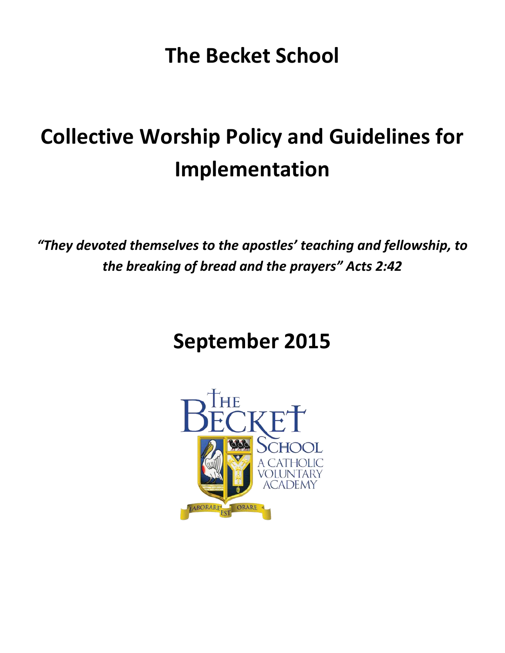**The Becket School**

# **Collective Worship Policy and Guidelines for Implementation**

*"They devoted themselves to the apostles' teaching and fellowship, to the breaking of bread and the prayers" Acts 2:42*

# **September 2015**

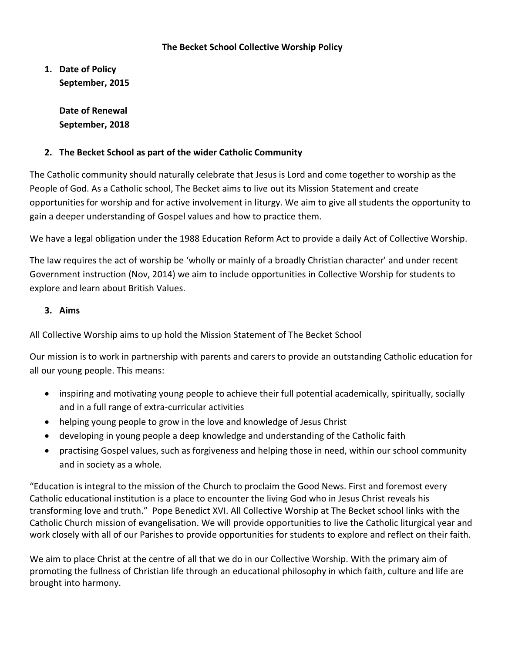#### **The Becket School Collective Worship Policy**

**1. Date of Policy September, 2015**

> **Date of Renewal September, 2018**

# **2. The Becket School as part of the wider Catholic Community**

The Catholic community should naturally celebrate that Jesus is Lord and come together to worship as the People of God. As a Catholic school, The Becket aims to live out its Mission Statement and create opportunities for worship and for active involvement in liturgy. We aim to give all students the opportunity to gain a deeper understanding of Gospel values and how to practice them.

We have a legal obligation under the 1988 Education Reform Act to provide a daily Act of Collective Worship.

The law requires the act of worship be 'wholly or mainly of a broadly Christian character' and under recent Government instruction (Nov, 2014) we aim to include opportunities in Collective Worship for students to explore and learn about British Values.

# **3. Aims**

All Collective Worship aims to up hold the Mission Statement of The Becket School

Our mission is to work in partnership with parents and carers to provide an outstanding Catholic education for all our young people. This means:

- inspiring and motivating young people to achieve their full potential academically, spiritually, socially and in a full range of extra-curricular activities
- helping young people to grow in the love and knowledge of Jesus Christ
- developing in young people a deep knowledge and understanding of the Catholic faith
- practising Gospel values, such as forgiveness and helping those in need, within our school community and in society as a whole.

"Education is integral to the mission of the Church to proclaim the Good News. First and foremost every Catholic educational institution is a place to encounter the living God who in Jesus Christ reveals his transforming love and truth." Pope Benedict XVI. All Collective Worship at The Becket school links with the Catholic Church mission of evangelisation. We will provide opportunities to live the Catholic liturgical year and work closely with all of our Parishes to provide opportunities for students to explore and reflect on their faith.

We aim to place Christ at the centre of all that we do in our Collective Worship. With the primary aim of promoting the fullness of Christian life through an educational philosophy in which faith, culture and life are brought into harmony.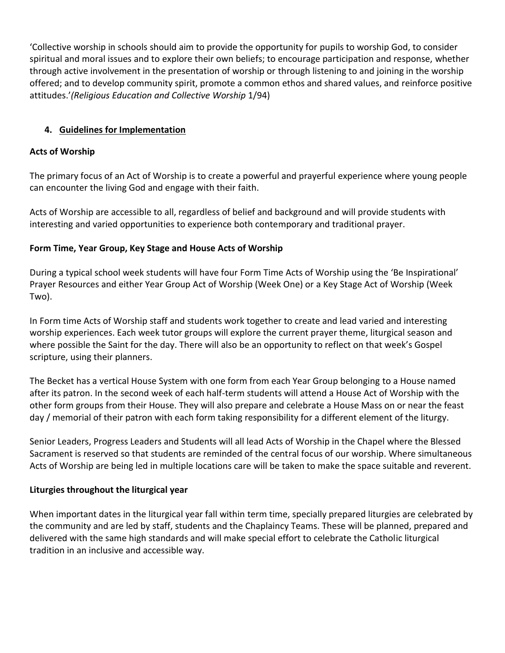'Collective worship in schools should aim to provide the opportunity for pupils to worship God, to consider spiritual and moral issues and to explore their own beliefs; to encourage participation and response, whether through active involvement in the presentation of worship or through listening to and joining in the worship offered; and to develop community spirit, promote a common ethos and shared values, and reinforce positive attitudes.'*(Religious Education and Collective Worship* 1/94)

# **4. Guidelines for Implementation**

### **Acts of Worship**

The primary focus of an Act of Worship is to create a powerful and prayerful experience where young people can encounter the living God and engage with their faith.

Acts of Worship are accessible to all, regardless of belief and background and will provide students with interesting and varied opportunities to experience both contemporary and traditional prayer.

# **Form Time, Year Group, Key Stage and House Acts of Worship**

During a typical school week students will have four Form Time Acts of Worship using the 'Be Inspirational' Prayer Resources and either Year Group Act of Worship (Week One) or a Key Stage Act of Worship (Week Two).

In Form time Acts of Worship staff and students work together to create and lead varied and interesting worship experiences. Each week tutor groups will explore the current prayer theme, liturgical season and where possible the Saint for the day. There will also be an opportunity to reflect on that week's Gospel scripture, using their planners.

The Becket has a vertical House System with one form from each Year Group belonging to a House named after its patron. In the second week of each half-term students will attend a House Act of Worship with the other form groups from their House. They will also prepare and celebrate a House Mass on or near the feast day / memorial of their patron with each form taking responsibility for a different element of the liturgy.

Senior Leaders, Progress Leaders and Students will all lead Acts of Worship in the Chapel where the Blessed Sacrament is reserved so that students are reminded of the central focus of our worship. Where simultaneous Acts of Worship are being led in multiple locations care will be taken to make the space suitable and reverent.

# **Liturgies throughout the liturgical year**

When important dates in the liturgical year fall within term time, specially prepared liturgies are celebrated by the community and are led by staff, students and the Chaplaincy Teams. These will be planned, prepared and delivered with the same high standards and will make special effort to celebrate the Catholic liturgical tradition in an inclusive and accessible way.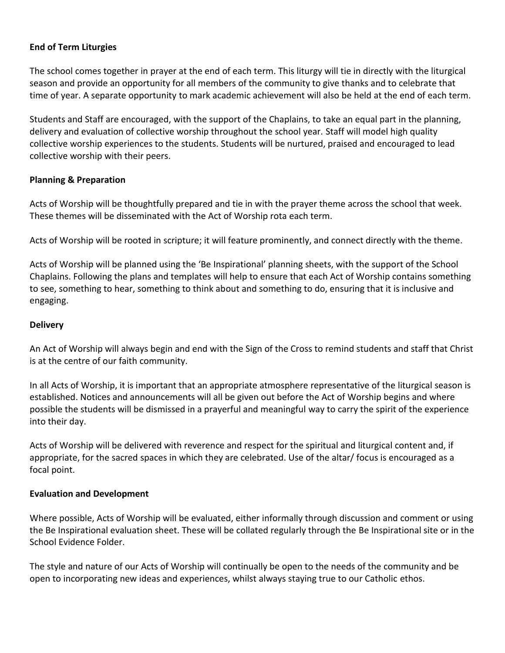#### **End of Term Liturgies**

The school comes together in prayer at the end of each term. This liturgy will tie in directly with the liturgical season and provide an opportunity for all members of the community to give thanks and to celebrate that time of year. A separate opportunity to mark academic achievement will also be held at the end of each term.

Students and Staff are encouraged, with the support of the Chaplains, to take an equal part in the planning, delivery and evaluation of collective worship throughout the school year. Staff will model high quality collective worship experiences to the students. Students will be nurtured, praised and encouraged to lead collective worship with their peers.

#### **Planning & Preparation**

Acts of Worship will be thoughtfully prepared and tie in with the prayer theme across the school that week. These themes will be disseminated with the Act of Worship rota each term.

Acts of Worship will be rooted in scripture; it will feature prominently, and connect directly with the theme.

Acts of Worship will be planned using the 'Be Inspirational' planning sheets, with the support of the School Chaplains. Following the plans and templates will help to ensure that each Act of Worship contains something to see, something to hear, something to think about and something to do, ensuring that it is inclusive and engaging.

#### **Delivery**

An Act of Worship will always begin and end with the Sign of the Cross to remind students and staff that Christ is at the centre of our faith community.

In all Acts of Worship, it is important that an appropriate atmosphere representative of the liturgical season is established. Notices and announcements will all be given out before the Act of Worship begins and where possible the students will be dismissed in a prayerful and meaningful way to carry the spirit of the experience into their day.

Acts of Worship will be delivered with reverence and respect for the spiritual and liturgical content and, if appropriate, for the sacred spaces in which they are celebrated. Use of the altar/ focus is encouraged as a focal point.

#### **Evaluation and Development**

Where possible, Acts of Worship will be evaluated, either informally through discussion and comment or using the Be Inspirational evaluation sheet. These will be collated regularly through the Be Inspirational site or in the School Evidence Folder.

The style and nature of our Acts of Worship will continually be open to the needs of the community and be open to incorporating new ideas and experiences, whilst always staying true to our Catholic ethos.